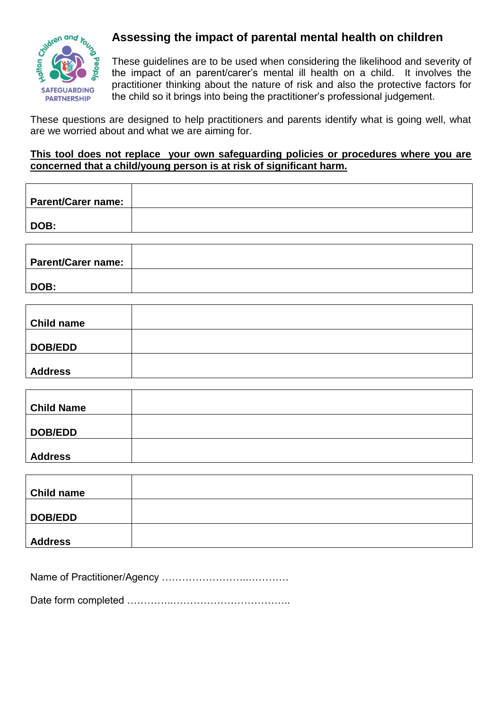

## **Assessing the impact of parental mental health on children**

These guidelines are to be used when considering the likelihood and severity of the impact of an parent/carer's mental ill health on a child. It involves the practitioner thinking about the nature of risk and also the protective factors for the child so it brings into being the practitioner's professional judgement.

These questions are designed to help practitioners and parents identify what is going well, what are we worried about and what we are aiming for.

## **This tool does not replace your own safeguarding policies or procedures where you are concerned that a child/young person is at risk of significant harm.**

| <b>Parent/Carer name:</b> |  |
|---------------------------|--|
|                           |  |
| DOB:                      |  |
|                           |  |
|                           |  |

| <b>Parent/Carer name:</b> |  |
|---------------------------|--|
| DOB:                      |  |

| <b>Child name</b> |  |
|-------------------|--|
| <b>DOB/EDD</b>    |  |
| <b>Address</b>    |  |

| <b>Child Name</b> |  |
|-------------------|--|
|                   |  |
| DOB/EDD           |  |
|                   |  |
| <b>Address</b>    |  |

| <b>Child name</b> |  |
|-------------------|--|
| DOB/EDD           |  |
| <b>Address</b>    |  |

Name of Practitioner/Agency ……………………..…………

Date form completed …………..……………………………..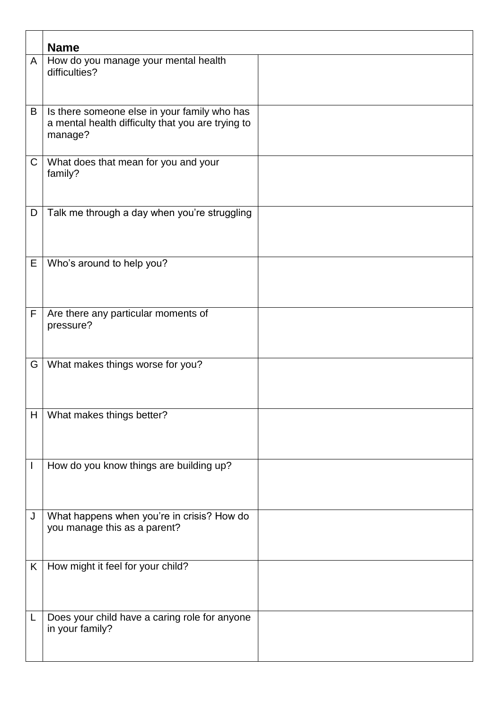|              | <b>Name</b>                                                                                                  |  |
|--------------|--------------------------------------------------------------------------------------------------------------|--|
| A            | How do you manage your mental health<br>difficulties?                                                        |  |
| B            | Is there someone else in your family who has<br>a mental health difficulty that you are trying to<br>manage? |  |
| $\mathsf C$  | What does that mean for you and your<br>family?                                                              |  |
| D            | Talk me through a day when you're struggling                                                                 |  |
| Е            | Who's around to help you?                                                                                    |  |
| F            | Are there any particular moments of<br>pressure?                                                             |  |
| G            | What makes things worse for you?                                                                             |  |
| H            | What makes things better?                                                                                    |  |
| $\mathbf{I}$ | How do you know things are building up?                                                                      |  |
| J            | What happens when you're in crisis? How do<br>you manage this as a parent?                                   |  |
| K            | How might it feel for your child?                                                                            |  |
| L            | Does your child have a caring role for anyone<br>in your family?                                             |  |